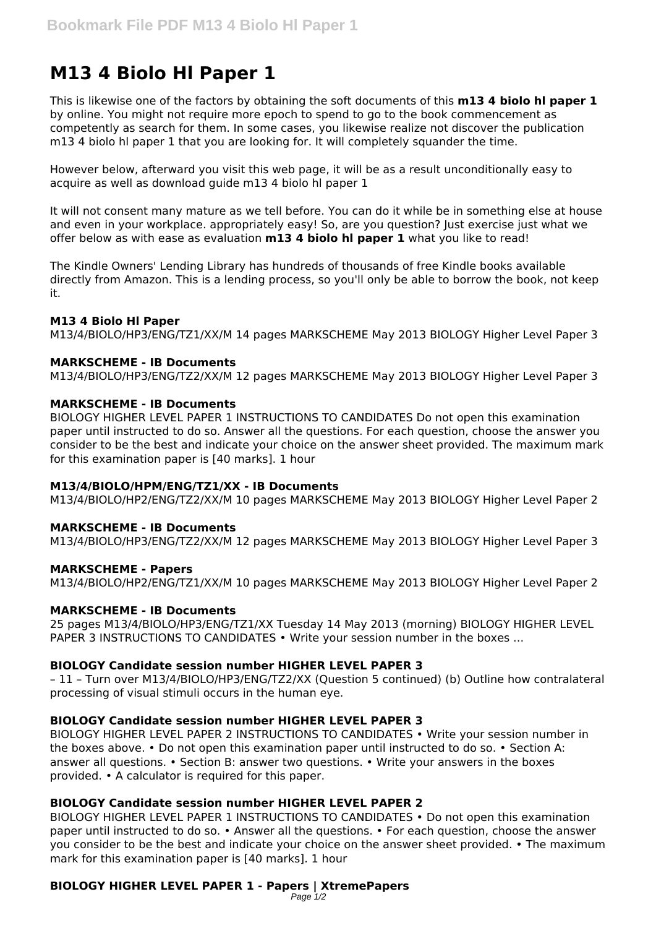# **M13 4 Biolo Hl Paper 1**

This is likewise one of the factors by obtaining the soft documents of this **m13 4 biolo hl paper 1** by online. You might not require more epoch to spend to go to the book commencement as competently as search for them. In some cases, you likewise realize not discover the publication m13 4 biolo hl paper 1 that you are looking for. It will completely squander the time.

However below, afterward you visit this web page, it will be as a result unconditionally easy to acquire as well as download guide m13 4 biolo hl paper 1

It will not consent many mature as we tell before. You can do it while be in something else at house and even in your workplace. appropriately easy! So, are you question? Just exercise just what we offer below as with ease as evaluation **m13 4 biolo hl paper 1** what you like to read!

The Kindle Owners' Lending Library has hundreds of thousands of free Kindle books available directly from Amazon. This is a lending process, so you'll only be able to borrow the book, not keep it.

# **M13 4 Biolo Hl Paper**

M13/4/BIOLO/HP3/ENG/TZ1/XX/M 14 pages MARKSCHEME May 2013 BIOLOGY Higher Level Paper 3

# **MARKSCHEME - IB Documents**

M13/4/BIOLO/HP3/ENG/TZ2/XX/M 12 pages MARKSCHEME May 2013 BIOLOGY Higher Level Paper 3

## **MARKSCHEME - IB Documents**

BIOLOGY HIGHER LEVEL PAPER 1 INSTRUCTIONS TO CANDIDATES Do not open this examination paper until instructed to do so. Answer all the questions. For each question, choose the answer you consider to be the best and indicate your choice on the answer sheet provided. The maximum mark for this examination paper is [40 marks]. 1 hour

## **M13/4/BIOLO/HPM/ENG/TZ1/XX - IB Documents**

M13/4/BIOLO/HP2/ENG/TZ2/XX/M 10 pages MARKSCHEME May 2013 BIOLOGY Higher Level Paper 2

## **MARKSCHEME - IB Documents**

M13/4/BIOLO/HP3/ENG/TZ2/XX/M 12 pages MARKSCHEME May 2013 BIOLOGY Higher Level Paper 3

## **MARKSCHEME - Papers**

M13/4/BIOLO/HP2/ENG/TZ1/XX/M 10 pages MARKSCHEME May 2013 BIOLOGY Higher Level Paper 2

## **MARKSCHEME - IB Documents**

25 pages M13/4/BIOLO/HP3/ENG/TZ1/XX Tuesday 14 May 2013 (morning) BIOLOGY HIGHER LEVEL PAPER 3 INSTRUCTIONS TO CANDIDATES • Write your session number in the boxes ...

## **BIOLOGY Candidate session number HIGHER LEVEL PAPER 3**

– 11 – Turn over M13/4/BIOLO/HP3/ENG/TZ2/XX (Question 5 continued) (b) Outline how contralateral processing of visual stimuli occurs in the human eye.

## **BIOLOGY Candidate session number HIGHER LEVEL PAPER 3**

BIOLOGY HIGHER LEVEL PAPER 2 INSTRUCTIONS TO CANDIDATES • Write your session number in the boxes above. • Do not open this examination paper until instructed to do so. • Section A: answer all questions. • Section B: answer two questions. • Write your answers in the boxes provided. • A calculator is required for this paper.

# **BIOLOGY Candidate session number HIGHER LEVEL PAPER 2**

BIOLOGY HIGHER LEVEL PAPER 1 INSTRUCTIONS TO CANDIDATES • Do not open this examination paper until instructed to do so. • Answer all the questions. • For each question, choose the answer you consider to be the best and indicate your choice on the answer sheet provided. • The maximum mark for this examination paper is [40 marks]. 1 hour

# **BIOLOGY HIGHER LEVEL PAPER 1 - Papers | XtremePapers**